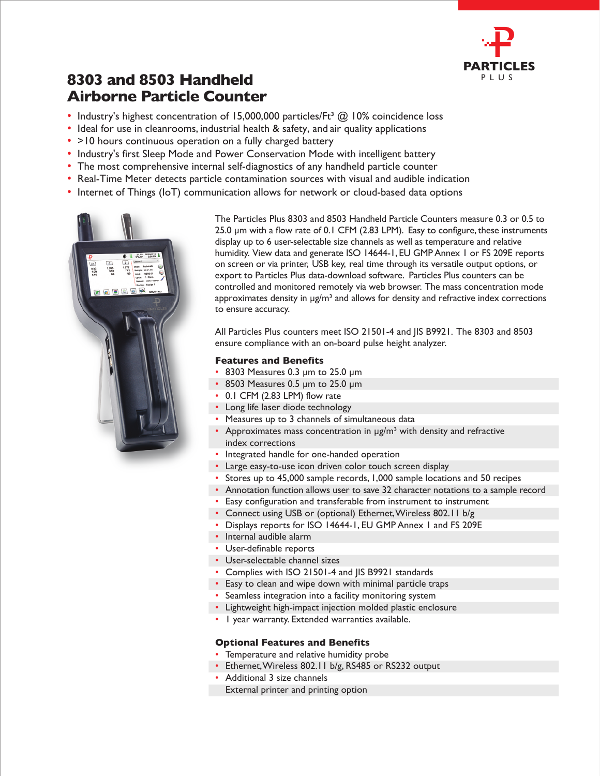

## **8303 and 8503 Handheld Airborne Particle Counter**

- Industry's highest concentration of 15,000,000 particles/Ft<sup>3</sup>  $\textcircled{a}$  10% coincidence loss
- Ideal for use in cleanrooms, industrial health & safety, and air quality applications
- >10 hours continuous operation on a fully charged battery
- Industry's first Sleep Mode and Power Conservation Mode with intelligent battery
- The most comprehensive internal self-diagnostics of any handheld particle counter
- Real-Time Meter detects particle contamination sources with visual and audible indication
- Internet of Things (IoT) communication allows for network or cloud-based data options



The Particles Plus 8303 and 8503 Handheld Particle Counters measure 0.3 or 0.5 to 25.0 um with a flow rate of 0.1 CFM (2.83 LPM). Easy to configure, these instruments display up to 6 user-selectable size channels as well as temperature and relative humidity. View data and generate ISO 14644-1, EU GMP Annex 1 or FS 209E reports on screen or via printer, USB key, real time through its versatile output options, or export to Particles Plus data-download software. Particles Plus counters can be controlled and monitored remotely via web browser. The mass concentration mode approximates density in  $\mu$ g/m<sup>3</sup> and allows for density and refractive index corrections to ensure accuracy.

All Particles Plus counters meet ISO 21501-4 and JIS B9921. The 8303 and 8503 ensure compliance with an on-board pulse height analyzer.

## **Features and Benefits**

- 8303 Measures 0.3 µm to 25.0 µm
- 8503 Measures 0.5 µm to 25.0 µm
- 0.1 CFM (2.83 LPM) flow rate
- Long life laser diode technology
- Measures up to 3 channels of simultaneous data
- Approximates mass concentration in  $\mu$ g/m<sup>3</sup> with density and refractive index corrections
- Integrated handle for one-handed operation
- Large easy-to-use icon driven color touch screen display
- Stores up to 45,000 sample records, 1,000 sample locations and 50 recipes
- Annotation function allows user to save 32 character notations to a sample record
- Easy configuration and transferable from instrument to instrument
- Connect using USB or (optional) Ethernet, Wireless 802.11 b/g
- Displays reports for ISO 14644-1, EU GMP Annex 1 and FS 209E
- Internal audible alarm
- User-definable reports
- User-selectable channel sizes
- Complies with ISO 21501-4 and JIS B9921 standards
- Easy to clean and wipe down with minimal particle traps
- Seamless integration into a facility monitoring system
- Lightweight high-impact injection molded plastic enclosure
- 1 year warranty. Extended warranties available.

## **Optional Features and Benefits**

- Temperature and relative humidity probe
- Ethernet, Wireless 802.11 b/g, RS485 or RS232 output
- Additional 3 size channels
- External printer and printing option